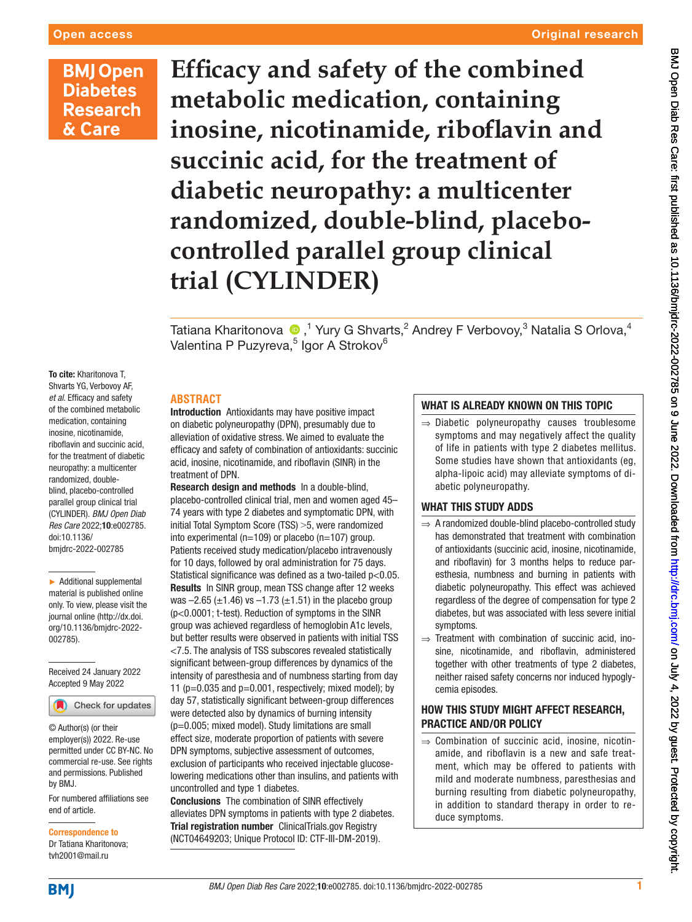# **BMJ Open Diabetes Research** & Care

**Efficacy and safety of the combined metabolic medication, containing inosine, nicotinamide, riboflavin and succinic acid, for the treatment of diabetic neuropathy: a multicenter randomized, double-blind, placebocontrolled parallel group clinical trial (CYLINDER)**

Tatiana Kharitonova  $\textcolor{blue}{\bullet}$  ,<sup>1</sup> Yury G Shvarts,<sup>2</sup> Andrey F Verbovoy,<sup>3</sup> Natalia S Orlova,<sup>4</sup> Valentina P Puzyreva,<sup>5</sup> Igor A Strokov<sup>6</sup>

To cite: Kharitonova T, Shvarts YG, Verbovoy AF, *et al*. Efficacy and safety of the combined metabolic medication, containing inosine, nicotinamide, riboflavin and succinic acid, for the treatment of diabetic neuropathy: a multicenter randomized, doubleblind, placebo-controlled parallel group clinical trial (CYLINDER). *BMJ Open Diab Res Care* 2022;10:e002785. doi:10.1136/ bmjdrc-2022-002785

► Additional supplemental material is published online only. To view, please visit the journal online ([http://dx.doi.](http://dx.doi.org/10.1136/bmjdrc-2022-002785) [org/10.1136/bmjdrc-2022-](http://dx.doi.org/10.1136/bmjdrc-2022-002785) [002785](http://dx.doi.org/10.1136/bmjdrc-2022-002785)).

Received 24 January 2022 Accepted 9 May 2022



© Author(s) (or their employer(s)) 2022. Re-use permitted under CC BY-NC. No commercial re-use. See rights and permissions. Published by BMJ.

For numbered affiliations see end of article.

Correspondence to Dr Tatiana Kharitonova;

tvh2001@mail.ru

Introduction Antioxidants may have positive impact on diabetic polyneuropathy (DPN), presumably due to alleviation of oxidative stress. We aimed to evaluate the efficacy and safety of combination of antioxidants: succinic acid, inosine, nicotinamide, and riboflavin (SINR) in the treatment of DPN.

**ABSTRACT**

Research design and methods In a double-blind, placebo-controlled clinical trial, men and women aged 45– 74 years with type 2 diabetes and symptomatic DPN, with initial Total Symptom Score (TSS) > 5, were randomized into experimental (n=109) or placebo (n=107) group. Patients received study medication/placebo intravenously for 10 days, followed by oral administration for 75 days. Statistical significance was defined as a two-tailed p<0.05. Results In SINR group, mean TSS change after 12 weeks was  $-2.65$  ( $\pm$ 1.46) vs  $-1.73$  ( $\pm$ 1.51) in the placebo group (p<0.0001; t-test). Reduction of symptoms in the SINR group was achieved regardless of hemoglobin A1c levels, but better results were observed in patients with initial TSS <7.5. The analysis of TSS subscores revealed statistically significant between-group differences by dynamics of the intensity of paresthesia and of numbness starting from day 11 ( $p=0.035$  and  $p=0.001$ , respectively; mixed model); by day 57, statistically significant between-group differences were detected also by dynamics of burning intensity (p=0.005; mixed model). Study limitations are small effect size, moderate proportion of patients with severe DPN symptoms, subjective assessment of outcomes, exclusion of participants who received injectable glucoselowering medications other than insulins, and patients with uncontrolled and type 1 diabetes.

Conclusions The combination of SINR effectively alleviates DPN symptoms in patients with type 2 diabetes. Trial registration number ClinicalTrials.gov Registry (<NCT04649203>; Unique Protocol ID: CTF-III-DM-2019).

# WHAT IS ALREADY KNOWN ON THIS TOPIC

⇒ Diabetic polyneuropathy causes troublesome symptoms and may negatively affect the quality of life in patients with type 2 diabetes mellitus. Some studies have shown that antioxidants (eg, alpha-lipoic acid) may alleviate symptoms of diabetic polyneuropathy.

# WHAT THIS STUDY ADDS

- ⇒ A randomized double-blind placebo-controlled study has demonstrated that treatment with combination of antioxidants (succinic acid, inosine, nicotinamide, and riboflavin) for 3 months helps to reduce paresthesia, numbness and burning in patients with diabetic polyneuropathy. This effect was achieved regardless of the degree of compensation for type 2 diabetes, but was associated with less severe initial symptoms.
- ⇒ Treatment with combination of succinic acid, inosine, nicotinamide, and riboflavin, administered together with other treatments of type 2 diabetes, neither raised safety concerns nor induced hypoglycemia episodes.

# HOW THIS STUDY MIGHT AFFECT RESEARCH, PRACTICE AND/OR POLICY

⇒ Combination of succinic acid, inosine, nicotinamide, and riboflavin is a new and safe treatment, which may be offered to patients with mild and moderate numbness, paresthesias and burning resulting from diabetic polyneuropathy, in addition to standard therapy in order to reduce symptoms.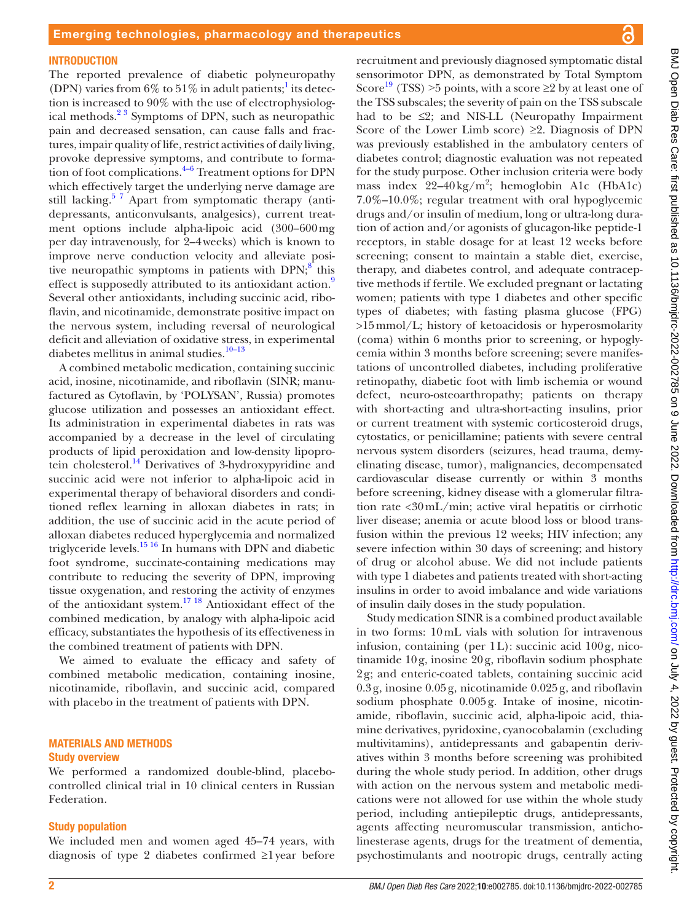#### **INTRODUCTION**

The reported prevalence of diabetic polyneuropathy (DPN) varies from  $6\%$  to  $51\%$  $51\%$  $51\%$  in adult patients;<sup>1</sup> its detection is increased to 90% with the use of electrophysiological methods.<sup>23</sup> Symptoms of DPN, such as neuropathic pain and decreased sensation, can cause falls and fractures, impair quality of life, restrict activities of daily living, provoke depressive symptoms, and contribute to formation of foot complications. $4-6$  Treatment options for DPN which effectively target the underlying nerve damage are still lacking.<sup>57</sup> Apart from symptomatic therapy (antidepressants, anticonvulsants, analgesics), current treatment options include alpha-lipoic acid (300–600mg per day intravenously, for 2–4weeks) which is known to improve nerve conduction velocity and alleviate positive neuropathic symptoms in patients with  $DPN$ ;<sup>8</sup> this effect is supposedly attributed to its antioxidant action.<sup>[9](#page-7-5)</sup> Several other antioxidants, including succinic acid, riboflavin, and nicotinamide, demonstrate positive impact on the nervous system, including reversal of neurological deficit and alleviation of oxidative stress, in experimental diabetes mellitus in animal studies.<sup>10-13</sup>

A combined metabolic medication, containing succinic acid, inosine, nicotinamide, and riboflavin (SINR; manufactured as Cytoflavin, by 'POLYSAN', Russia) promotes glucose utilization and possesses an antioxidant effect. Its administration in experimental diabetes in rats was accompanied by a decrease in the level of circulating products of lipid peroxidation and low-density lipoprotein cholesterol.<sup>14</sup> Derivatives of 3-hydroxypyridine and succinic acid were not inferior to alpha-lipoic acid in experimental therapy of behavioral disorders and conditioned reflex learning in alloxan diabetes in rats; in addition, the use of succinic acid in the acute period of alloxan diabetes reduced hyperglycemia and normalized triglyceride levels. $1516$  In humans with DPN and diabetic foot syndrome, succinate-containing medications may contribute to reducing the severity of DPN, improving tissue oxygenation, and restoring the activity of enzymes of the antioxidant system.[17 18](#page-8-2) Antioxidant effect of the combined medication, by analogy with alpha-lipoic acid efficacy, substantiates the hypothesis of its effectiveness in the combined treatment of patients with DPN.

We aimed to evaluate the efficacy and safety of combined metabolic medication, containing inosine, nicotinamide, riboflavin, and succinic acid, compared with placebo in the treatment of patients with DPN.

#### MATERIALS AND METHODS Study overview

We performed a randomized double-blind, placebocontrolled clinical trial in 10 clinical centers in Russian Federation.

#### Study population

We included men and women aged 45–74 years, with diagnosis of type 2 diabetes confirmed ≥1year before

Score<sup>19</sup> (TSS) >5 points, with a score  $\geq 2$  by at least one of the TSS subscales; the severity of pain on the TSS subscale had to be  $\leq 2$ ; and NIS-LL (Neuropathy Impairment Score of the Lower Limb score)  $\geq 2$ . Diagnosis of DPN was previously established in the ambulatory centers of diabetes control; diagnostic evaluation was not repeated for the study purpose. Other inclusion criteria were body mass index  $22-40 \text{ kg/m}^2$ ; hemoglobin A1c (HbA1c) 7.0%–10.0%; regular treatment with oral hypoglycemic drugs and/or insulin of medium, long or ultra-long duration of action and/or agonists of glucagon-like peptide-1 receptors, in stable dosage for at least 12 weeks before screening; consent to maintain a stable diet, exercise, therapy, and diabetes control, and adequate contraceptive methods if fertile. We excluded pregnant or lactating women; patients with type 1 diabetes and other specific types of diabetes; with fasting plasma glucose (FPG) >15mmol/L; history of ketoacidosis or hyperosmolarity (coma) within 6 months prior to screening, or hypoglycemia within 3 months before screening; severe manifestations of uncontrolled diabetes, including proliferative retinopathy, diabetic foot with limb ischemia or wound defect, neuro-osteoarthropathy; patients on therapy with short-acting and ultra-short-acting insulins, prior or current treatment with systemic corticosteroid drugs, cytostatics, or penicillamine; patients with severe central nervous system disorders (seizures, head trauma, demyelinating disease, tumor), malignancies, decompensated cardiovascular disease currently or within 3 months before screening, kidney disease with a glomerular filtration rate <30mL/min; active viral hepatitis or cirrhotic liver disease; anemia or acute blood loss or blood transfusion within the previous 12 weeks; HIV infection; any severe infection within 30 days of screening; and history of drug or alcohol abuse. We did not include patients with type 1 diabetes and patients treated with short-acting insulins in order to avoid imbalance and wide variations of insulin daily doses in the study population.

recruitment and previously diagnosed symptomatic distal sensorimotor DPN, as demonstrated by Total Symptom

Study medication SINR is a combined product available in two forms: 10mL vials with solution for intravenous infusion, containing (per 1L): succinic acid 100g, nicotinamide 10g, inosine 20g, riboflavin sodium phosphate 2g; and enteric-coated tablets, containing succinic acid 0.3g, inosine 0.05g, nicotinamide 0.025g, and riboflavin sodium phosphate 0.005g. Intake of inosine, nicotinamide, riboflavin, succinic acid, alpha-lipoic acid, thiamine derivatives, pyridoxine, cyanocobalamin (excluding multivitamins), antidepressants and gabapentin derivatives within 3 months before screening was prohibited during the whole study period. In addition, other drugs with action on the nervous system and metabolic medications were not allowed for use within the whole study period, including antiepileptic drugs, antidepressants, agents affecting neuromuscular transmission, anticholinesterase agents, drugs for the treatment of dementia, psychostimulants and nootropic drugs, centrally acting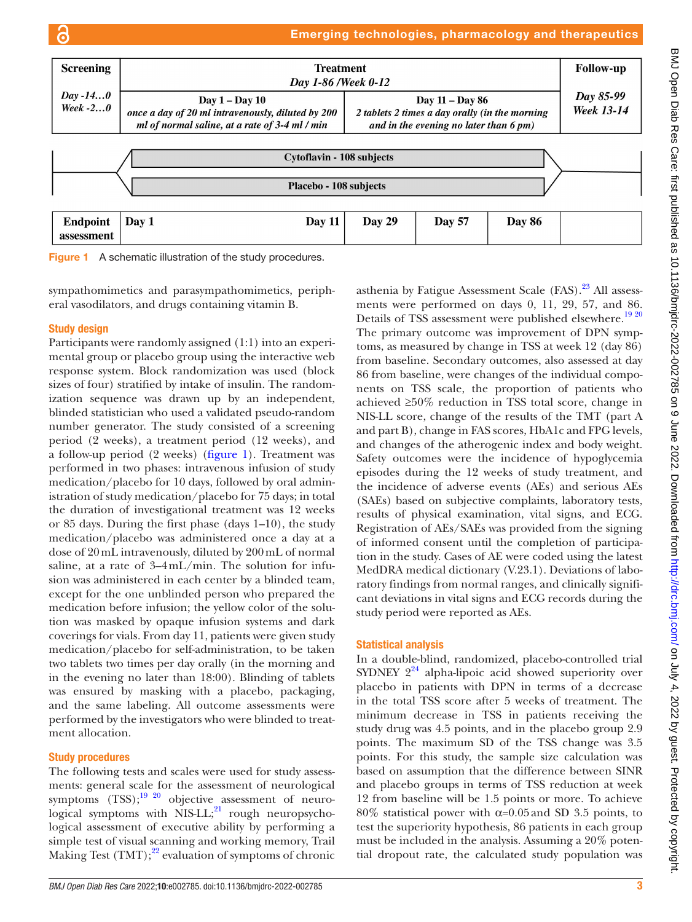# Emerging technologies, pharmacology and therapeutics



<span id="page-2-0"></span>

sympathomimetics and parasympathomimetics, peripheral vasodilators, and drugs containing vitamin B.

## Study design

ഭ

Participants were randomly assigned (1:1) into an experimental group or placebo group using the interactive web response system. Block randomization was used (block sizes of four) stratified by intake of insulin. The randomization sequence was drawn up by an independent, blinded statistician who used a validated pseudo-random number generator. The study consisted of a screening period (2 weeks), a treatment period (12 weeks), and a follow-up period (2 weeks) ([figure](#page-2-0) 1). Treatment was performed in two phases: intravenous infusion of study medication/placebo for 10 days, followed by oral administration of study medication/placebo for 75 days; in total the duration of investigational treatment was 12 weeks or 85 days. During the first phase (days 1–10), the study medication/placebo was administered once a day at a dose of 20mL intravenously, diluted by 200mL of normal saline, at a rate of 3–4mL/min. The solution for infusion was administered in each center by a blinded team, except for the one unblinded person who prepared the medication before infusion; the yellow color of the solution was masked by opaque infusion systems and dark coverings for vials. From day 11, patients were given study medication/placebo for self-administration, to be taken two tablets two times per day orally (in the morning and in the evening no later than 18:00). Blinding of tablets was ensured by masking with a placebo, packaging, and the same labeling. All outcome assessments were performed by the investigators who were blinded to treatment allocation.

# Study procedures

The following tests and scales were used for study assessments: general scale for the assessment of neurological symptoms  $(TSS)$ ;<sup>19 20</sup> objective assessment of neurological symptoms with  $NIS-LL;^{21}$  rough neuropsychological assessment of executive ability by performing a simple test of visual scanning and working memory, Trail Making Test  $(TMT);^{22}$  evaluation of symptoms of chronic

*BMJ Open Diab Res Care* 2022;10:e002785. doi:10.1136/bmjdrc-2022-002785 3

asthenia by Fatigue Assessment Scale  $(FAS)$ .<sup>23</sup> All assessments were performed on days 0, 11, 29, 57, and 86. Details of TSS assessment were published elsewhere.<sup>[19 20](#page-8-3)</sup> The primary outcome was improvement of DPN symptoms, as measured by change in TSS at week 12 (day 86) from baseline. Secondary outcomes, also assessed at day 86 from baseline, were changes of the individual components on TSS scale, the proportion of patients who achieved ≥50% reduction in TSS total score, change in NIS-LL score, change of the results of the TMT (part A and part B), change in FAS scores, HbA1c and FPG levels, and changes of the atherogenic index and body weight. Safety outcomes were the incidence of hypoglycemia episodes during the 12 weeks of study treatment, and the incidence of adverse events (AEs) and serious AEs (SAEs) based on subjective complaints, laboratory tests, results of physical examination, vital signs, and ECG. Registration of AEs/SAEs was provided from the signing of informed consent until the completion of participation in the study. Cases of AE were coded using the latest MedDRA medical dictionary (V.23.1). Deviations of laboratory findings from normal ranges, and clinically significant deviations in vital signs and ECG records during the study period were reported as AEs.

#### Statistical analysis

In a double-blind, randomized, placebo-controlled trial SYDNEY  $2^{24}$  alpha-lipoic acid showed superiority over placebo in patients with DPN in terms of a decrease in the total TSS score after 5 weeks of treatment. The minimum decrease in TSS in patients receiving the study drug was 4.5 points, and in the placebo group 2.9 points. The maximum SD of the TSS change was 3.5 points. For this study, the sample size calculation was based on assumption that the difference between SINR and placebo groups in terms of TSS reduction at week 12 from baseline will be 1.5 points or more. To achieve 80% statistical power with α=0.05and SD 3.5 points, to test the superiority hypothesis, 86 patients in each group must be included in the analysis. Assuming a 20% potential dropout rate, the calculated study population was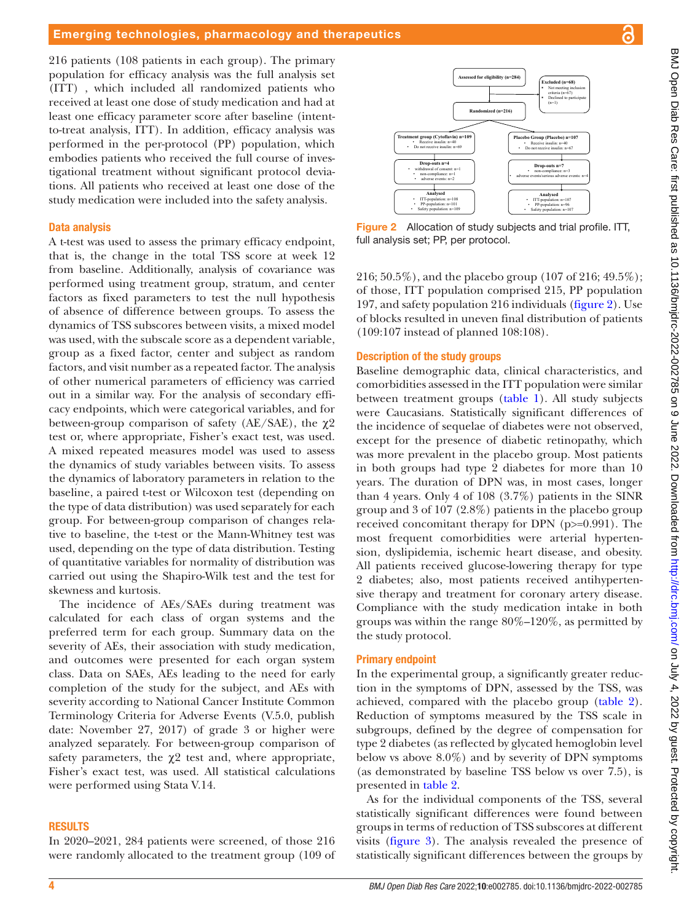216 patients (108 patients in each group). The primary population for efficacy analysis was the full analysis set (ITT) , which included all randomized patients who received at least one dose of study medication and had at least one efficacy parameter score after baseline (intentto-treat analysis, ITT). In addition, efficacy analysis was performed in the per-protocol (PP) population, which embodies patients who received the full course of investigational treatment without significant protocol deviations. All patients who received at least one dose of the study medication were included into the safety analysis.

### Data analysis

A t-test was used to assess the primary efficacy endpoint, that is, the change in the total TSS score at week 12 from baseline. Additionally, analysis of covariance was performed using treatment group, stratum, and center factors as fixed parameters to test the null hypothesis of absence of difference between groups. To assess the dynamics of TSS subscores between visits, a mixed model was used, with the subscale score as a dependent variable, group as a fixed factor, center and subject as random factors, and visit number as a repeated factor. The analysis of other numerical parameters of efficiency was carried out in a similar way. For the analysis of secondary efficacy endpoints, which were categorical variables, and for between-group comparison of safety (AE/SAE), the  $\chi$ 2 test or, where appropriate, Fisher's exact test, was used. A mixed repeated measures model was used to assess the dynamics of study variables between visits. To assess the dynamics of laboratory parameters in relation to the baseline, a paired t-test or Wilcoxon test (depending on the type of data distribution) was used separately for each group. For between-group comparison of changes relative to baseline, the t-test or the Mann-Whitney test was used, depending on the type of data distribution. Testing of quantitative variables for normality of distribution was carried out using the Shapiro-Wilk test and the test for skewness and kurtosis.

The incidence of AEs/SAEs during treatment was calculated for each class of organ systems and the preferred term for each group. Summary data on the severity of AEs, their association with study medication, and outcomes were presented for each organ system class. Data on SAEs, AEs leading to the need for early completion of the study for the subject, and AEs with severity according to National Cancer Institute Common Terminology Criteria for Adverse Events (V.5.0, publish date: November 27, 2017) of grade 3 or higher were analyzed separately. For between-group comparison of safety parameters, the  $\chi$ <sup>2</sup> test and, where appropriate, Fisher's exact test, was used. All statistical calculations were performed using Stata V.14.

#### RESULTS

In 2020–2021, 284 patients were screened, of those 216 were randomly allocated to the treatment group (109 of



<span id="page-3-0"></span>Figure 2 Allocation of study subjects and trial profile. ITT, full analysis set; PP, per protocol.

216; 50.5%), and the placebo group (107 of 216; 49.5%); of those, ITT population comprised 215, PP population 197, and safety population 216 individuals [\(figure](#page-3-0) 2). Use of blocks resulted in uneven final distribution of patients (109:107 instead of planned 108:108).

### Description of the study groups

Baseline demographic data, clinical characteristics, and comorbidities assessed in the ITT population were similar between treatment groups ([table](#page-4-0) 1). All study subjects were Caucasians. Statistically significant differences of the incidence of sequelae of diabetes were not observed, except for the presence of diabetic retinopathy, which was more prevalent in the placebo group. Most patients in both groups had type 2 diabetes for more than 10 years. The duration of DPN was, in most cases, longer than 4 years. Only 4 of 108 (3.7%) patients in the SINR group and 3 of 107 (2.8%) patients in the placebo group received concomitant therapy for DPN (p>=0.991). The most frequent comorbidities were arterial hypertension, dyslipidemia, ischemic heart disease, and obesity. All patients received glucose-lowering therapy for type 2 diabetes; also, most patients received antihypertensive therapy and treatment for coronary artery disease. Compliance with the study medication intake in both groups was within the range 80%–120%, as permitted by the study protocol.

## Primary endpoint

In the experimental group, a significantly greater reduction in the symptoms of DPN, assessed by the TSS, was achieved, compared with the placebo group [\(table](#page-5-0) 2). Reduction of symptoms measured by the TSS scale in subgroups, defined by the degree of compensation for type 2 diabetes (as reflected by glycated hemoglobin level below vs above 8.0%) and by severity of DPN symptoms (as demonstrated by baseline TSS below vs over 7.5), is presented in [table](#page-5-0) 2.

As for the individual components of the TSS, several statistically significant differences were found between groups in terms of reduction of TSS subscores at different visits ([figure](#page-6-0) 3). The analysis revealed the presence of statistically significant differences between the groups by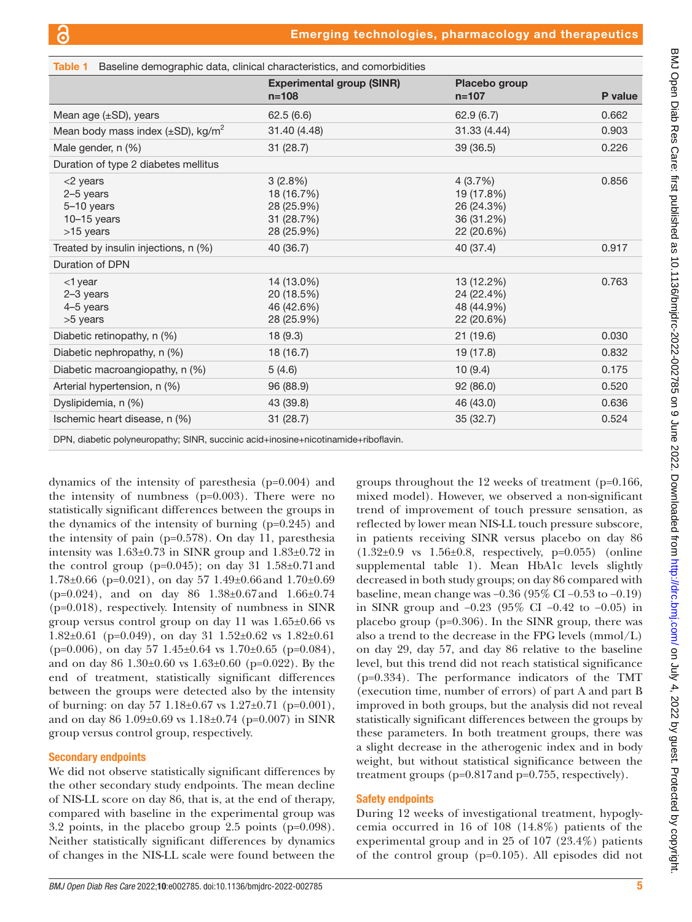<span id="page-4-0"></span>

| Table 1 Baseline demographic data, clinical characteristics, and comorbidities |                                                                 |                                                                 |         |  |  |  |  |
|--------------------------------------------------------------------------------|-----------------------------------------------------------------|-----------------------------------------------------------------|---------|--|--|--|--|
|                                                                                | <b>Experimental group (SINR)</b><br>$n = 108$                   | Placebo group<br>$n = 107$                                      | P value |  |  |  |  |
| Mean age $(\pm SD)$ , years                                                    | 62.5(6.6)                                                       | 62.9(6.7)                                                       | 0.662   |  |  |  |  |
| Mean body mass index $(\pm SD)$ , kg/m <sup>2</sup>                            | 31.40 (4.48)                                                    | 31.33 (4.44)                                                    | 0.903   |  |  |  |  |
| Male gender, n (%)                                                             | 31(28.7)                                                        | 39 (36.5)                                                       | 0.226   |  |  |  |  |
| Duration of type 2 diabetes mellitus                                           |                                                                 |                                                                 |         |  |  |  |  |
| $<$ 2 years<br>2-5 years<br>5-10 years<br>$10-15$ years<br>>15 years           | 3(2.8%)<br>18 (16.7%)<br>28 (25.9%)<br>31 (28.7%)<br>28 (25.9%) | 4(3.7%)<br>19 (17.8%)<br>26 (24.3%)<br>36 (31.2%)<br>22 (20.6%) | 0.856   |  |  |  |  |
| Treated by insulin injections, n (%)                                           | 40 (36.7)                                                       | 40 (37.4)                                                       | 0.917   |  |  |  |  |
| Duration of DPN                                                                |                                                                 |                                                                 |         |  |  |  |  |
| $<$ 1 year<br>$2-3$ years<br>4-5 years<br>>5 years                             | 14 (13.0%)<br>20 (18.5%)<br>46 (42.6%)<br>28 (25.9%)            | 13 (12.2%)<br>24 (22.4%)<br>48 (44.9%)<br>22 (20.6%)            | 0.763   |  |  |  |  |
| Diabetic retinopathy, n (%)                                                    | 18 (9.3)                                                        | 21 (19.6)                                                       | 0.030   |  |  |  |  |
| Diabetic nephropathy, n (%)                                                    | 18 (16.7)                                                       | 19 (17.8)                                                       | 0.832   |  |  |  |  |
| Diabetic macroangiopathy, n (%)                                                | 5(4.6)                                                          | 10(9.4)                                                         | 0.175   |  |  |  |  |
| Arterial hypertension, n (%)                                                   | 96 (88.9)                                                       | 92 (86.0)                                                       | 0.520   |  |  |  |  |
| Dyslipidemia, n (%)                                                            | 43 (39.8)                                                       | 46 (43.0)                                                       | 0.636   |  |  |  |  |
| Ischemic heart disease, n (%)                                                  | 31(28.7)                                                        | 35 (32.7)                                                       | 0.524   |  |  |  |  |

DPN, diabetic polyneuropathy; SINR, succinic acid+inosine+nicotinamide+riboflavin.

dynamics of the intensity of paresthesia (p=0.004) and the intensity of numbness (p=0.003). There were no statistically significant differences between the groups in the dynamics of the intensity of burning (p=0.245) and the intensity of pain (p=0.578). On day 11, paresthesia intensity was  $1.63\pm0.73$  in SINR group and  $1.83\pm0.72$  in the control group ( $p=0.045$ ); on day 31 1.58 $\pm$ 0.71 and  $1.78\pm0.66$  (p=0.021), on day 57  $1.49\pm0.66$  and  $1.70\pm0.69$ (p=0.024), and on day 86 1.38±0.67and 1.66±0.74 (p=0.018), respectively. Intensity of numbness in SINR group versus control group on day 11 was 1.65±0.66 vs 1.82 $\pm$ 0.61 (p=0.049), on day 31 1.52 $\pm$ 0.62 vs 1.82 $\pm$ 0.61  $(p=0.006)$ , on day 57 1.45 $\pm$ 0.64 vs 1.70 $\pm$ 0.65 (p=0.084), and on day 86 1.30±0.60 vs 1.63±0.60 (p=0.022). By the end of treatment, statistically significant differences between the groups were detected also by the intensity of burning: on day 57 1.18±0.67 vs 1.27±0.71 (p=0.001), and on day 86 1.09±0.69 vs 1.18±0.74 (p=0.007) in SINR group versus control group, respectively.

## Secondary endpoints

We did not observe statistically significant differences by the other secondary study endpoints. The mean decline of NIS-LL score on day 86, that is, at the end of therapy, compared with baseline in the experimental group was 3.2 points, in the placebo group 2.5 points (p=0.098). Neither statistically significant differences by dynamics of changes in the NIS-LL scale were found between the

groups throughout the 12 weeks of treatment (p=0.166, mixed model). However, we observed a non-significant trend of improvement of touch pressure sensation, as reflected by lower mean NIS-LL touch pressure subscore, in patients receiving SINR versus placebo on day 86 (1.32±0.9 vs 1.56±0.8, respectively, p=0.055) [\(online](https://dx.doi.org/10.1136/bmjdrc-2022-002785) [supplemental table 1\)](https://dx.doi.org/10.1136/bmjdrc-2022-002785). Mean HbA1c levels slightly decreased in both study groups; on day 86 compared with baseline, mean change was −0.36 (95% CI −0.53 to −0.19) in SINR group and −0.23 (95% CI −0.42 to −0.05) in placebo group (p=0.306). In the SINR group, there was also a trend to the decrease in the FPG levels (mmol/L) on day 29, day 57, and day 86 relative to the baseline level, but this trend did not reach statistical significance (p=0.334). The performance indicators of the TMT (execution time, number of errors) of part A and part B improved in both groups, but the analysis did not reveal statistically significant differences between the groups by these parameters. In both treatment groups, there was a slight decrease in the atherogenic index and in body weight, but without statistical significance between the treatment groups (p=0.817and p=0.755, respectively).

## Safety endpoints

During 12 weeks of investigational treatment, hypoglycemia occurred in 16 of 108 (14.8%) patients of the experimental group and in 25 of 107 (23.4%) patients of the control group (p=0.105). All episodes did not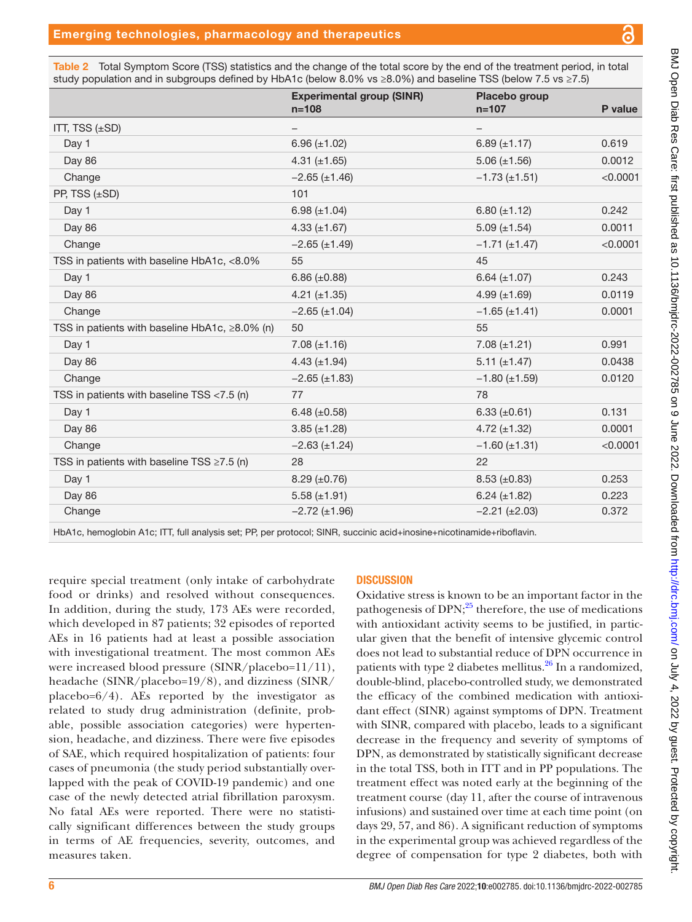<span id="page-5-0"></span>Table 2 Total Symptom Score (TSS) statistics and the change of the total score by the end of the treatment period, in total study population and in subgroups defined by HbA1c (below 8.0% vs ≥8.0%) and baseline TSS (below 7.5 vs ≥7.5)

|                                                  | <b>Experimental group (SINR)</b><br>$n = 108$ | Placebo group<br>$n = 107$ | P value  |
|--------------------------------------------------|-----------------------------------------------|----------------------------|----------|
| ITT, TSS (±SD)                                   |                                               |                            |          |
| Day 1                                            | $6.96 (\pm 1.02)$                             | $6.89 \ (\pm 1.17)$        | 0.619    |
| Day 86                                           | 4.31 $(\pm 1.65)$                             | $5.06 (\pm 1.56)$          | 0.0012   |
| Change                                           | $-2.65 \ (\pm 1.46)$                          | $-1.73 (\pm 1.51)$         | < 0.0001 |
| PP, TSS (±SD)                                    | 101                                           |                            |          |
| Day 1                                            | 6.98 $(\pm 1.04)$                             | 6.80 $(\pm 1.12)$          | 0.242    |
| Day 86                                           | 4.33 $(\pm 1.67)$                             | $5.09 \ (\pm 1.54)$        | 0.0011   |
| Change                                           | $-2.65 (\pm 1.49)$                            | $-1.71 (\pm 1.47)$         | < 0.0001 |
| TSS in patients with baseline HbA1c, <8.0%       | 55                                            | 45                         |          |
| Day 1                                            | 6.86 $(\pm 0.88)$                             | 6.64 $(\pm 1.07)$          | 0.243    |
| Day 86                                           | $4.21 (\pm 1.35)$                             | 4.99 $(\pm 1.69)$          | 0.0119   |
| Change                                           | $-2.65 \ (\pm 1.04)$                          | $-1.65 \ (\pm 1.41)$       | 0.0001   |
| TSS in patients with baseline HbA1c, ≥8.0% (n)   | 50                                            | 55                         |          |
| Day 1                                            | $7.08 (\pm 1.16)$                             | $7.08 (\pm 1.21)$          | 0.991    |
| Day 86                                           | 4.43 $(\pm 1.94)$                             | $5.11 (\pm 1.47)$          | 0.0438   |
| Change                                           | $-2.65 (\pm 1.83)$                            | $-1.80 \ (\pm 1.59)$       | 0.0120   |
| TSS in patients with baseline TSS <7.5 (n)       | 77                                            | 78                         |          |
| Day 1                                            | 6.48 $(\pm 0.58)$                             | 6.33 $(\pm 0.61)$          | 0.131    |
| Day 86                                           | $3.85 (\pm 1.28)$                             | 4.72 $(\pm 1.32)$          | 0.0001   |
| Change                                           | $-2.63 (\pm 1.24)$                            | $-1.60 \ (\pm 1.31)$       | < 0.0001 |
| TSS in patients with baseline TSS $\geq$ 7.5 (n) | 28                                            | 22                         |          |
| Day 1                                            | $8.29 \ (\pm 0.76)$                           | $8.53 \ (\pm 0.83)$        | 0.253    |
| Day 86                                           | 5.58 $(\pm 1.91)$                             | $6.24 (\pm 1.82)$          | 0.223    |
| Change                                           | $-2.72 \ (\pm 1.96)$                          | $-2.21 (\pm 2.03)$         | 0.372    |
|                                                  |                                               |                            |          |

HbA1c, hemoglobin A1c; ITT, full analysis set; PP, per protocol; SINR, succinic acid+inosine+nicotinamide+riboflavin.

require special treatment (only intake of carbohydrate food or drinks) and resolved without consequences. In addition, during the study, 173 AEs were recorded, which developed in 87 patients; 32 episodes of reported AEs in 16 patients had at least a possible association with investigational treatment. The most common AEs were increased blood pressure (SINR/placebo=11/11), headache (SINR/placebo=19/8), and dizziness (SINR/ placebo= $6/4$ ). AEs reported by the investigator as related to study drug administration (definite, probable, possible association categories) were hypertension, headache, and dizziness. There were five episodes of SAE, which required hospitalization of patients: four cases of pneumonia (the study period substantially overlapped with the peak of COVID-19 pandemic) and one case of the newly detected atrial fibrillation paroxysm. No fatal AEs were reported. There were no statistically significant differences between the study groups in terms of AE frequencies, severity, outcomes, and measures taken.

# **DISCUSSION**

Oxidative stress is known to be an important factor in the pathogenesis of DPN;<sup>[25](#page-8-8)</sup> therefore, the use of medications with antioxidant activity seems to be justified, in particular given that the benefit of intensive glycemic control does not lead to substantial reduce of DPN occurrence in patients with type 2 diabetes mellitus.<sup>26</sup> In a randomized, double-blind, placebo-controlled study, we demonstrated the efficacy of the combined medication with antioxidant effect (SINR) against symptoms of DPN. Treatment with SINR, compared with placebo, leads to a significant decrease in the frequency and severity of symptoms of DPN, as demonstrated by statistically significant decrease in the total TSS, both in ITT and in PP populations. The treatment effect was noted early at the beginning of the treatment course (day 11, after the course of intravenous infusions) and sustained over time at each time point (on days 29, 57, and 86). A significant reduction of symptoms in the experimental group was achieved regardless of the degree of compensation for type 2 diabetes, both with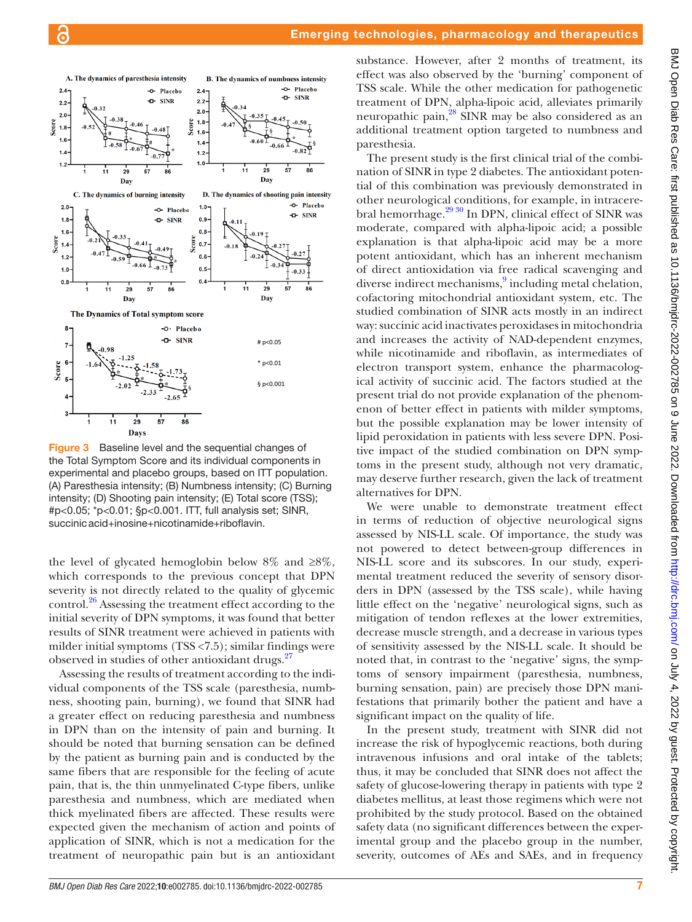

<span id="page-6-0"></span>Figure 3 Baseline level and the sequential changes of the Total Symptom Score and its individual components in experimental and placebo groups, based on ITT population. (A) Paresthesia intensity; (B) Numbness intensity; (C) Burning intensity; (D) Shooting pain intensity; (E) Total score (TSS); #p<0.05; \*p<0.01; §p<0.001. ITT, full analysis set; SINR, succinicacid+inosine+nicotinamide+riboflavin.

the level of glycated hemoglobin below  $8\%$  and  $\geq 8\%$ , which corresponds to the previous concept that DPN severity is not directly related to the quality of glycemic control[.26](#page-8-9) Assessing the treatment effect according to the initial severity of DPN symptoms, it was found that better results of SINR treatment were achieved in patients with milder initial symptoms (TSS <7.5); similar findings were observed in studies of other antioxidant drugs.<sup>27</sup>

Assessing the results of treatment according to the individual components of the TSS scale (paresthesia, numbness, shooting pain, burning), we found that SINR had a greater effect on reducing paresthesia and numbness in DPN than on the intensity of pain and burning. It should be noted that burning sensation can be defined by the patient as burning pain and is conducted by the same fibers that are responsible for the feeling of acute pain, that is, the thin unmyelinated C-type fibers, unlike paresthesia and numbness, which are mediated when thick myelinated fibers are affected. These results were expected given the mechanism of action and points of application of SINR, which is not a medication for the treatment of neuropathic pain but is an antioxidant

substance. However, after 2 months of treatment, its effect was also observed by the 'burning' component of TSS scale. While the other medication for pathogenetic treatment of DPN, alpha-lipoic acid, alleviates primarily neuropathic pain[,28](#page-8-11) SINR may be also considered as an additional treatment option targeted to numbness and paresthesia.

The present study is the first clinical trial of the combination of SINR in type 2 diabetes. The antioxidant potential of this combination was previously demonstrated in other neurological conditions, for example, in intracerebral hemorrhage.<sup>29 30</sup> In DPN, clinical effect of SINR was moderate, compared with alpha-lipoic acid; a possible explanation is that alpha-lipoic acid may be a more potent antioxidant, which has an inherent mechanism of direct antioxidation via free radical scavenging and diverse indirect mechanisms,<sup>[9](#page-7-5)</sup> including metal chelation, cofactoring mitochondrial antioxidant system, etc. The studied combination of SINR acts mostly in an indirect way: succinic acid inactivates peroxidases in mitochondria and increases the activity of NAD-dependent enzymes, while nicotinamide and riboflavin, as intermediates of electron transport system, enhance the pharmacological activity of succinic acid. The factors studied at the present trial do not provide explanation of the phenomenon of better effect in patients with milder symptoms, but the possible explanation may be lower intensity of lipid peroxidation in patients with less severe DPN. Positive impact of the studied combination on DPN symptoms in the present study, although not very dramatic, may deserve further research, given the lack of treatment alternatives for DPN.

We were unable to demonstrate treatment effect in terms of reduction of objective neurological signs assessed by NIS-LL scale. Of importance, the study was not powered to detect between-group differences in NIS-LL score and its subscores. In our study, experimental treatment reduced the severity of sensory disorders in DPN (assessed by the TSS scale), while having little effect on the 'negative' neurological signs, such as mitigation of tendon reflexes at the lower extremities, decrease muscle strength, and a decrease in various types of sensitivity assessed by the NIS-LL scale. It should be noted that, in contrast to the 'negative' signs, the symptoms of sensory impairment (paresthesia, numbness, burning sensation, pain) are precisely those DPN manifestations that primarily bother the patient and have a significant impact on the quality of life.

In the present study, treatment with SINR did not increase the risk of hypoglycemic reactions, both during intravenous infusions and oral intake of the tablets; thus, it may be concluded that SINR does not affect the safety of glucose-lowering therapy in patients with type 2 diabetes mellitus, at least those regimens which were not prohibited by the study protocol. Based on the obtained safety data (no significant differences between the experimental group and the placebo group in the number, severity, outcomes of AEs and SAEs, and in frequency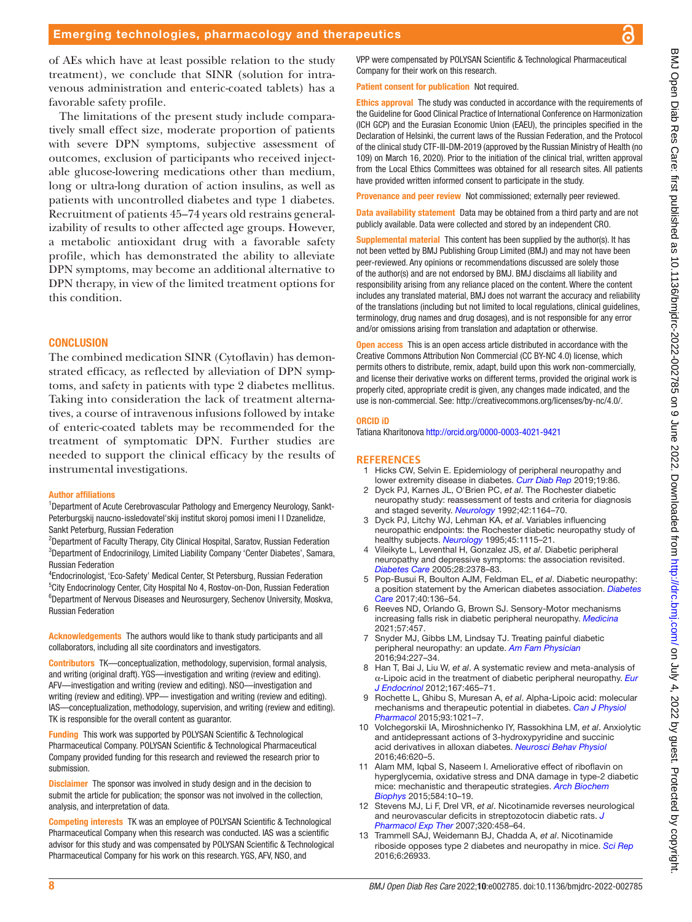of AEs which have at least possible relation to the study treatment), we conclude that SINR (solution for intravenous administration and enteric-coated tablets) has a

favorable safety profile.

The limitations of the present study include comparatively small effect size, moderate proportion of patients with severe DPN symptoms, subjective assessment of outcomes, exclusion of participants who received injectable glucose-lowering medications other than medium, long or ultra-long duration of action insulins, as well as patients with uncontrolled diabetes and type 1 diabetes. Recruitment of patients 45–74 years old restrains generalizability of results to other affected age groups. However, a metabolic antioxidant drug with a favorable safety profile, which has demonstrated the ability to alleviate DPN symptoms, may become an additional alternative to DPN therapy, in view of the limited treatment options for The combined medication SINR (Cytoflavin) has demonstrated efficacy, as reflected by alleviation of DPN symp-

toms, and safety in patients with type 2 diabetes mellitus. Taking into consideration the lack of treatment alternatives, a course of intravenous infusions followed by intake of enteric-coated tablets may be recommended for the treatment of symptomatic DPN. Further studies are needed to support the clinical efficacy by the results of instrumental investigations.

#### Author affiliations

this condition.

**CONCLUSION** 

<sup>1</sup>Department of Acute Cerebrovascular Pathology and Emergency Neurology, Sankt-Peterburgskij naucno-issledovatel'skij institut skoroj pomosi imeni I I Dzanelidze, Sankt Peterburg, Russian Federation

<sup>2</sup>Department of Faculty Therapy, City Clinical Hospital, Saratov, Russian Federation <sup>3</sup>Department of Endocrinilogy, Limited Liability Company 'Center Diabetes', Samara, Russian Federation

4 Endocrinologist, 'Eco-Safety' Medical Center, St Petersburg, Russian Federation <sup>5</sup>City Endocrinology Center, City Hospital No 4, Rostov-on-Don, Russian Federation <sup>6</sup>Department of Nervous Diseases and Neurosurgery, Sechenov University, Moskva, Russian Federation

Acknowledgements The authors would like to thank study participants and all collaborators, including all site coordinators and investigators.

Contributors TK—conceptualization, methodology, supervision, formal analysis, and writing (original draft). YGS—investigation and writing (review and editing). AFV—investigation and writing (review and editing). NSO—investigation and writing (review and editing). VPP— investigation and writing (review and editing). IAS—conceptualization, methodology, supervision, and writing (review and editing). TK is responsible for the overall content as guarantor.

Funding This work was supported by POLYSAN Scientific & Technological Pharmaceutical Company. POLYSAN Scientific & Technological Pharmaceutical Company provided funding for this research and reviewed the research prior to submission.

**Disclaimer** The sponsor was involved in study design and in the decision to submit the article for publication; the sponsor was not involved in the collection, analysis, and interpretation of data.

Competing interests TK was an employee of POLYSAN Scientific & Technological Pharmaceutical Company when this research was conducted. IAS was a scientific advisor for this study and was compensated by POLYSAN Scientific & Technological Pharmaceutical Company for his work on this research. YGS, AFV, NSO, and

VPP were compensated by POLYSAN Scientific & Technological Pharmaceutical Company for their work on this research.

Patient consent for publication Not required.

Ethics approval The study was conducted in accordance with the requirements of the Guideline for Good Clinical Practice of International Conference on Harmonization (ICH GCP) and the Eurasian Economic Union (EAEU), the principles specified in the Declaration of Helsinki, the current laws of the Russian Federation, and the Protocol of the clinical study CTF-III-DM-2019 (approved by the Russian Ministry of Health (no 109) on March 16, 2020). Prior to the initiation of the clinical trial, written approval from the Local Ethics Committees was obtained for all research sites. All patients have provided written informed consent to participate in the study.

Provenance and peer review Not commissioned; externally peer reviewed.

Data availability statement Data may be obtained from a third party and are not publicly available. Data were collected and stored by an independent CRO.

Supplemental material This content has been supplied by the author(s). It has not been vetted by BMJ Publishing Group Limited (BMJ) and may not have been peer-reviewed. Any opinions or recommendations discussed are solely those of the author(s) and are not endorsed by BMJ. BMJ disclaims all liability and responsibility arising from any reliance placed on the content. Where the content includes any translated material, BMJ does not warrant the accuracy and reliability of the translations (including but not limited to local regulations, clinical guidelines, terminology, drug names and drug dosages), and is not responsible for any error and/or omissions arising from translation and adaptation or otherwise.

**Open access** This is an open access article distributed in accordance with the Creative Commons Attribution Non Commercial (CC BY-NC 4.0) license, which permits others to distribute, remix, adapt, build upon this work non-commercially, and license their derivative works on different terms, provided the original work is properly cited, appropriate credit is given, any changes made indicated, and the use is non-commercial. See:<http://creativecommons.org/licenses/by-nc/4.0/>.

#### ORCID iD

Tatiana Kharitonova <http://orcid.org/0000-0003-4021-9421>

#### **REFERENCES**

- <span id="page-7-0"></span>1 Hicks CW, Selvin E. Epidemiology of peripheral neuropathy and lower extremity disease in diabetes. *[Curr Diab Rep](http://dx.doi.org/10.1007/s11892-019-1212-8)* 2019;19:86.
- <span id="page-7-1"></span>2 Dyck PJ, Karnes JL, O'Brien PC, *et al*. The Rochester diabetic neuropathy study: reassessment of tests and criteria for diagnosis and staged severity. *[Neurology](http://dx.doi.org/10.1212/WNL.42.6.1164)* 1992;42:1164–70.
- 3 Dyck PJ, Litchy WJ, Lehman KA, *et al*. Variables influencing neuropathic endpoints: the Rochester diabetic neuropathy study of healthy subjects. *[Neurology](http://dx.doi.org/10.1212/WNL.45.6.1115)* 1995;45:1115–21.
- <span id="page-7-2"></span>4 Vileikyte L, Leventhal H, Gonzalez JS, *et al*. Diabetic peripheral neuropathy and depressive symptoms: the association revisited. *[Diabetes Care](http://dx.doi.org/10.2337/diacare.28.10.2378)* 2005;28:2378–83.
- <span id="page-7-3"></span>5 Pop-Busui R, Boulton AJM, Feldman EL, *et al*. Diabetic neuropathy: a position statement by the American diabetes association. *[Diabetes](http://dx.doi.org/10.2337/dc16-2042)  [Care](http://dx.doi.org/10.2337/dc16-2042)* 2017;40:136–54.
- 6 Reeves ND, Orlando G, Brown SJ. Sensory-Motor mechanisms increasing falls risk in diabetic peripheral neuropathy. *[Medicina](http://dx.doi.org/10.3390/medicina57050457)* 2021;57:457.
- 7 Snyder MJ, Gibbs LM, Lindsay TJ. Treating painful diabetic peripheral neuropathy: an update. *[Am Fam Physician](http://www.ncbi.nlm.nih.gov/pubmed/27479625)* 2016;94:227–34.
- <span id="page-7-4"></span>8 Han T, Bai J, Liu W, *et al*. A systematic review and meta-analysis of α-Lipoic acid in the treatment of diabetic peripheral neuropathy. *[Eur](http://dx.doi.org/10.1530/EJE-12-0555)  [J Endocrinol](http://dx.doi.org/10.1530/EJE-12-0555)* 2012;167:465–71.
- <span id="page-7-5"></span>9 Rochette L, Ghibu S, Muresan A, *et al*. Alpha-Lipoic acid: molecular mechanisms and therapeutic potential in diabetes. *[Can J Physiol](http://dx.doi.org/10.1139/cjpp-2014-0353)  [Pharmacol](http://dx.doi.org/10.1139/cjpp-2014-0353)* 2015;93:1021–7.
- <span id="page-7-6"></span>10 Volchegorskii IA, Miroshnichenko IY, Rassokhina LM, *et al*. Anxiolytic and antidepressant actions of 3-hydroxypyridine and succinic acid derivatives in alloxan diabetes. *[Neurosci Behav Physiol](http://dx.doi.org/10.1007/s11055-016-0287-9)* 2016;46:620–5.
- 11 Alam MM, Iqbal S, Naseem I. Ameliorative effect of riboflavin on hyperglycemia, oxidative stress and DNA damage in type-2 diabetic mice: mechanistic and therapeutic strategies. *[Arch Biochem](http://dx.doi.org/10.1016/j.abb.2015.08.013)  [Biophys](http://dx.doi.org/10.1016/j.abb.2015.08.013)* 2015;584:10–19.
- 12 Stevens MJ, Li F, Drel VR, *et al*. Nicotinamide reverses neurological and neurovascular deficits in streptozotocin diabetic rats. *[J](http://dx.doi.org/10.1124/jpet.106.109702)  [Pharmacol Exp Ther](http://dx.doi.org/10.1124/jpet.106.109702)* 2007;320:458–64.
- 13 Trammell SAJ, Weidemann BJ, Chadda A, *et al*. Nicotinamide riboside opposes type 2 diabetes and neuropathy in mice. *[Sci Rep](http://dx.doi.org/10.1038/srep26933)* 2016;6:26933.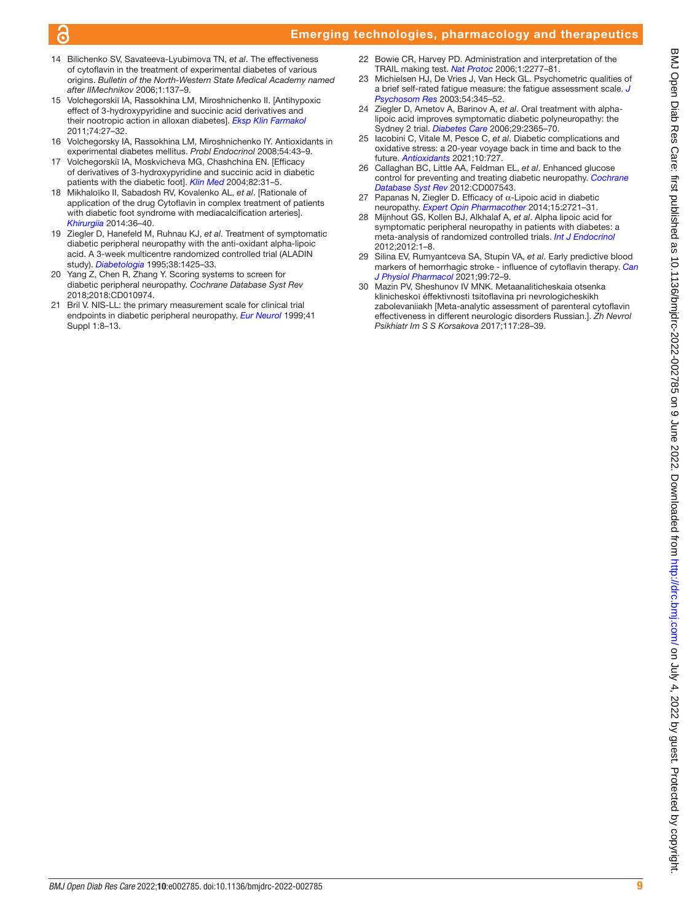# Emerging technologies, pharmacology and therapeutics

- <span id="page-8-0"></span>14 Bilichenko SV, Savateeva-Lyubimova TN, *et al*. The effectiveness of cytoflavin in the treatment of experimental diabetes of various origins. *Bulletin of the North-Western State Medical Academy named after IIMechnikov* 2006;1:137–9.
- <span id="page-8-1"></span>15 Volchegorskiĭ IA, Rassokhina LM, Miroshnichenko II. [Antihypoxic effect of 3-hydroxypyridine and succinic acid derivatives and their nootropic action in alloxan diabetes]. *[Eksp Klin Farmakol](http://www.ncbi.nlm.nih.gov/pubmed/22379879)* 2011;74:27–32.
- 16 Volchegorsky IA, Rassokhina LM, Miroshnichenko IY. Antioxidants in experimental diabetes mellitus. *Probl Endocrinol* 2008;54:43–9.
- <span id="page-8-2"></span>17 Volchegorskiĭ IA, Moskvicheva MG, Chashchina EN. [Efficacy of derivatives of 3-hydroxypyridine and succinic acid in diabetic patients with the diabetic foot]. *[Klin Med](http://www.ncbi.nlm.nih.gov/pubmed/15656396)* 2004;82:31–5.
- 18 Mikhaloĭko II, Sabadosh RV, Kovalenko AL, *et al*. [Rationale of application of the drug Cytoflavin in complex treatment of patients with diabetic foot syndrome with mediacalcification arteries]. *[Khirurgiia](http://www.ncbi.nlm.nih.gov/pubmed/25589316)* 2014:36–40.
- <span id="page-8-3"></span>19 Ziegler D, Hanefeld M, Ruhnau KJ, *et al*. Treatment of symptomatic diabetic peripheral neuropathy with the anti-oxidant alpha-lipoic acid. A 3-week multicentre randomized controlled trial (ALADIN study). *[Diabetologia](http://dx.doi.org/10.1007/BF00400603)* 1995;38:1425–33.
- 20 Yang Z, Chen R, Zhang Y. Scoring systems to screen for diabetic peripheral neuropathy. *Cochrane Database Syst Rev* 2018;2018:CD010974.
- <span id="page-8-4"></span>21 Bril V. NIS-LL: the primary measurement scale for clinical trial endpoints in diabetic peripheral neuropathy. *[Eur Neurol](http://dx.doi.org/10.1159/000052074)* 1999;41 Suppl 1:8–13.
- <span id="page-8-5"></span>22 Bowie CR, Harvey PD. Administration and interpretation of the TRAIL making test. *[Nat Protoc](http://dx.doi.org/10.1038/nprot.2006.390)* 2006;1:2277–81.
- <span id="page-8-6"></span>23 Michielsen HJ, De Vries J, Van Heck GL. Psychometric qualities of a brief self-rated fatigue measure: the fatigue assessment scale. *[J](http://dx.doi.org/10.1016/s0022-3999(02)00392-6)  [Psychosom Res](http://dx.doi.org/10.1016/s0022-3999(02)00392-6)* 2003;54:345–52.
- <span id="page-8-7"></span>24 Ziegler D, Ametov A, Barinov A, *et al*. Oral treatment with alphalipoic acid improves symptomatic diabetic polyneuropathy: the Sydney 2 trial. *[Diabetes Care](http://dx.doi.org/10.2337/dc06-1216)* 2006;29:2365–70.
- <span id="page-8-8"></span>25 Iacobini C, Vitale M, Pesce C, *et al*. Diabetic complications and oxidative stress: a 20-year voyage back in time and back to the future. *[Antioxidants](http://dx.doi.org/10.3390/antiox10050727)* 2021;10:727.
- <span id="page-8-9"></span>26 Callaghan BC, Little AA, Feldman EL, *et al*. Enhanced glucose control for preventing and treating diabetic neuropathy. *[Cochrane](http://dx.doi.org/10.1002/14651858.CD007543.pub2)  [Database Syst Rev](http://dx.doi.org/10.1002/14651858.CD007543.pub2)* 2012:CD007543.
- <span id="page-8-10"></span>27 Papanas N, Ziegler D. Efficacy of  $\alpha$ -Lipoic acid in diabetic neuropathy. *[Expert Opin Pharmacother](http://dx.doi.org/10.1517/14656566.2014.972935)* 2014;15:2721–31.
- <span id="page-8-11"></span>28 Mijnhout GS, Kollen BJ, Alkhalaf A, *et al*. Alpha lipoic acid for symptomatic peripheral neuropathy in patients with diabetes: a meta-analysis of randomized controlled trials. *[Int J Endocrinol](http://dx.doi.org/10.1155/2012/456279)* 2012;2012:1–8.
- <span id="page-8-12"></span>29 Silina EV, Rumyantceva SA, Stupin VA, *et al*. Early predictive blood markers of hemorrhagic stroke - influence of cytoflavin therapy. *[Can](http://dx.doi.org/10.1139/cjpp-2020-0277)  [J Physiol Pharmacol](http://dx.doi.org/10.1139/cjpp-2020-0277)* 2021;99:72–9.
- 30 Mazin PV, Sheshunov IV MNK. Metaanaliticheskaia otsenka klinicheskoĭ éffektivnosti tsitoflavina pri nevrologicheskikh zabolevaniiakh [Meta-analytic assessment of parenteral cytoflavin effectiveness in different neurologic disorders Russian.]. *Zh Nevrol Psikhiatr Im S S Korsakova* 2017;117:28–39.